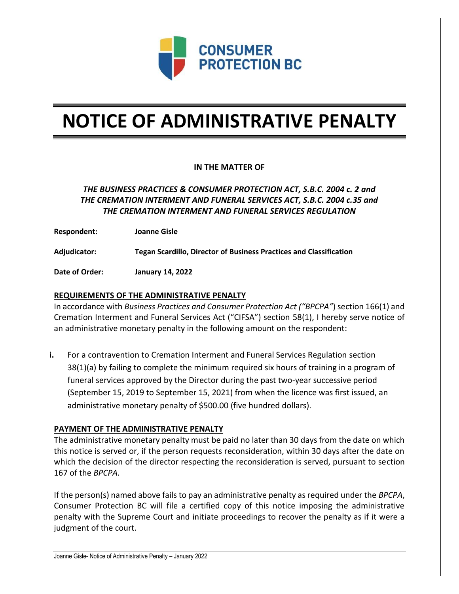

# **NOTICE OF ADMINISTRATIVE PENALTY**

### **IN THE MATTER OF**

## *THE BUSINESS PRACTICES & CONSUMER PROTECTION ACT, S.B.C. 2004 c. 2 and THE CREMATION INTERMENT AND FUNERAL SERVICES ACT, S.B.C. 2004 c.35 and THE CREMATION INTERMENT AND FUNERAL SERVICES REGULATION*

**Respondent: Joanne Gisle**

**Adjudicator: Tegan Scardillo, Director of Business Practices and Classification**

**Date of Order: January 14, 2022**

#### **REQUIREMENTS OF THE ADMINISTRATIVE PENALTY**

In accordance with *Business Practices and Consumer Protection Act ("BPCPA"*) section 166(1) and Cremation Interment and Funeral Services Act ("CIFSA") section 58(1), I hereby serve notice of an administrative monetary penalty in the following amount on the respondent:

**i.** For a contravention to Cremation Interment and Funeral Services Regulation section 38(1)(a) by failing to complete the minimum required six hours of training in a program of funeral services approved by the Director during the past two-year successive period (September 15, 2019 to September 15, 2021) from when the licence was first issued, an administrative monetary penalty of \$500.00 (five hundred dollars).

#### **PAYMENT OF THE ADMINISTRATIVE PENALTY**

The administrative monetary penalty must be paid no later than 30 days from the date on which this notice is served or, if the person requests reconsideration, within 30 days after the date on which the decision of the director respecting the reconsideration is served, pursuant to section 167 of the *BPCPA.* 

If the person(s) named above fails to pay an administrative penalty as required under the *BPCPA*, Consumer Protection BC will file a certified copy of this notice imposing the administrative penalty with the Supreme Court and initiate proceedings to recover the penalty as if it were a judgment of the court.